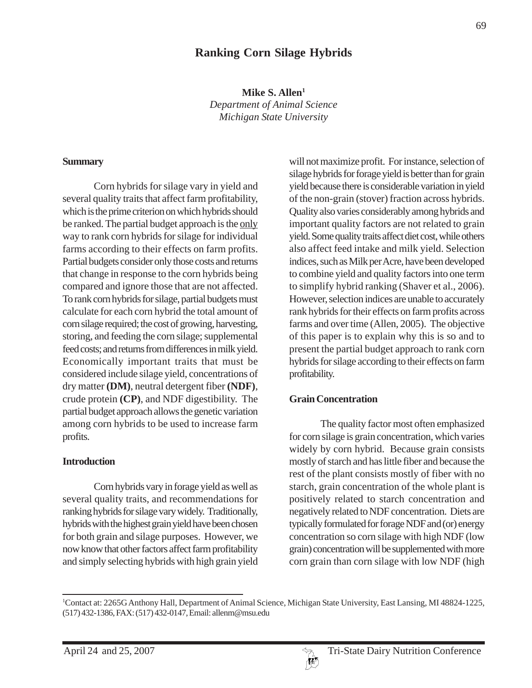## **Ranking Corn Silage Hybrids**

**Mike S. Allen1** *Department of Animal Science Michigan State University*

#### **Summary**

Corn hybrids for silage vary in yield and several quality traits that affect farm profitability, which is the prime criterion on which hybrids should be ranked. The partial budget approach is the only way to rank corn hybrids for silage for individual farms according to their effects on farm profits. Partial budgets consider only those costs and returns that change in response to the corn hybrids being compared and ignore those that are not affected. To rank corn hybrids for silage, partial budgets must calculate for each corn hybrid the total amount of corn silage required; the cost of growing, harvesting, storing, and feeding the corn silage; supplemental feed costs; and returns from differences in milk yield. Economically important traits that must be considered include silage yield, concentrations of dry matter **(DM)**, neutral detergent fiber **(NDF)**, crude protein **(CP)**, and NDF digestibility. The partial budget approach allows the genetic variation among corn hybrids to be used to increase farm profits.

#### **Introduction**

Corn hybrids vary in forage yield as well as several quality traits, and recommendations for ranking hybrids for silage vary widely. Traditionally, hybrids with the highest grain yield have been chosen for both grain and silage purposes. However, we now know that other factors affect farm profitability and simply selecting hybrids with high grain yield

will not maximize profit. For instance, selection of silage hybrids for forage yield is better than for grain yield because there is considerable variation in yield of the non-grain (stover) fraction across hybrids. Quality also varies considerably among hybrids and important quality factors are not related to grain yield. Some quality traits affect diet cost, while others also affect feed intake and milk yield. Selection indices, such as Milk per Acre, have been developed to combine yield and quality factors into one term to simplify hybrid ranking (Shaver et al., 2006). However, selection indices are unable to accurately rank hybrids for their effects on farm profits across farms and over time (Allen, 2005). The objective of this paper is to explain why this is so and to present the partial budget approach to rank corn hybrids for silage according to their effects on farm profitability.

#### **Grain Concentration**

The quality factor most often emphasized for corn silage is grain concentration, which varies widely by corn hybrid. Because grain consists mostly of starch and has little fiber and because the rest of the plant consists mostly of fiber with no starch, grain concentration of the whole plant is positively related to starch concentration and negatively related toNDF concentration. Diets are typically formulated for forage NDF and (or) energy concentration so corn silage with high NDF (low grain) concentration will be supplemented with more corn grain than corn silage with low NDF (high



<sup>1</sup> Contact at: 2265G Anthony Hall, Department of Animal Science, Michigan State University, East Lansing, MI 48824-1225, (517) 432-1386, FAX: (517) 432-0147, Email: allenm@msu.edu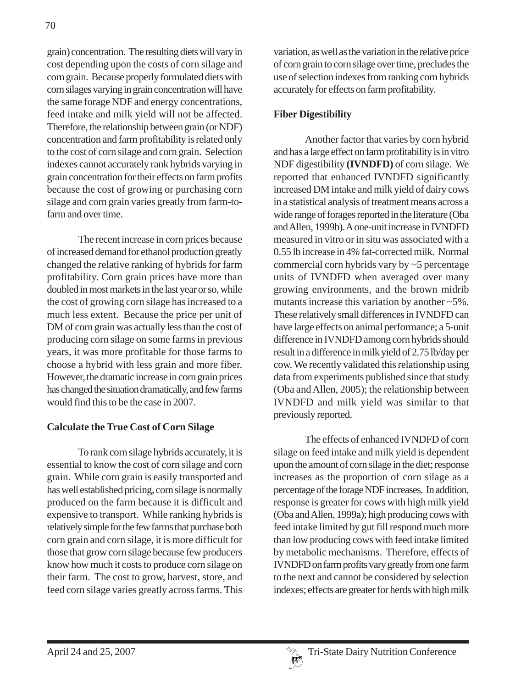grain) concentration. The resulting diets will vary in cost depending upon the costs of corn silage and corn grain. Because properly formulated diets with corn silages varying in grain concentration will have the same forage NDF and energy concentrations, feed intake and milk yield will not be affected. Therefore, the relationship between grain (or NDF) concentration and farm profitability is related only to the cost of corn silage and corn grain. Selection indexes cannot accurately rank hybrids varying in grain concentration for their effects on farm profits because the cost of growing or purchasing corn silage and corn grain varies greatly from farm-tofarm and over time.

The recent increase in corn prices because of increased demand for ethanol production greatly changed the relative ranking of hybrids for farm profitability. Corn grain prices have more than doubled in most markets in the last year or so, while the cost of growing corn silage has increased to a much less extent. Because the price per unit of DM of corn grain was actually less than the cost of producing corn silage on some farms in previous years, it was more profitable for those farms to choose a hybrid with less grain and more fiber. However, the dramatic increase in corn grain prices has changed the situation dramatically, and few farms would find this to be the case in 2007.

#### **Calculate the True Cost of Corn Silage**

To rank corn silage hybrids accurately, it is essential to know the cost of corn silage and corn grain. While corn grain is easily transported and has well established pricing, corn silage is normally produced on the farm because it is difficult and expensive to transport. While ranking hybrids is relatively simple for the few farms that purchase both corn grain and corn silage, it is more difficult for those that grow corn silage because few producers know how much it costs to produce corn silage on their farm. The cost to grow, harvest, store, and feed corn silage varies greatly across farms. This

variation, as well as the variation in the relative price of corn grain to corn silage over time, precludes the use of selection indexes from ranking corn hybrids accurately for effects on farm profitability.

### **Fiber Digestibility**

Another factor that varies by corn hybrid and has a large effect on farm profitability is in vitro NDF digestibility **(IVNDFD)** of corn silage. We reported that enhanced IVNDFD significantly increased DM intake and milk yield of dairy cows in a statistical analysis of treatment means across a wide range of forages reported in the literature (Oba and Allen, 1999b). A one-unit increase in IVNDFD measured in vitro or in situ was associated with a 0.55 lb increase in 4% fat-corrected milk. Normal commercial corn hybrids vary by ~5 percentage units of IVNDFD when averaged over many growing environments, and the brown midrib mutants increase this variation by another ~5%. These relatively small differences in IVNDFD can have large effects on animal performance; a 5-unit difference in IVNDFD among corn hybrids should result in a difference in milk yield of 2.75 lb/day per cow. We recently validated this relationship using data from experiments published since that study (Oba and Allen, 2005); the relationship between IVNDFD and milk yield was similar to that previously reported.

The effects of enhanced IVNDFD of corn silage on feed intake and milk yield is dependent upon the amount of corn silage in the diet; response increases as the proportion of corn silage as a percentage of the forage NDF increases. In addition, response is greater for cows with high milk yield (Oba and Allen, 1999a); high producing cows with feed intake limited by gut fill respond much more than low producing cows with feed intake limited by metabolic mechanisms. Therefore, effects of IVNDFD on farm profits vary greatly from one farm to the next and cannot be considered by selection indexes; effects are greater for herds with high milk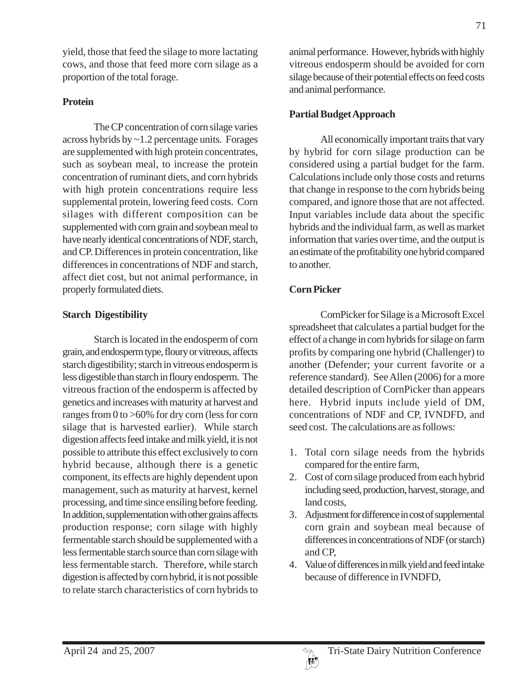yield, those that feed the silage to more lactating cows, and those that feed more corn silage as a proportion of the total forage.

### **Protein**

The CP concentration of corn silage varies across hybrids by ~1.2 percentage units. Forages are supplemented with high protein concentrates, such as soybean meal, to increase the protein concentration of ruminant diets, and corn hybrids with high protein concentrations require less supplemental protein, lowering feed costs. Corn silages with different composition can be supplemented with corn grain and soybean meal to have nearly identical concentrations of NDF, starch, and CP. Differences in protein concentration, like differences in concentrations of NDF and starch, affect diet cost, but not animal performance, in properly formulated diets.

### **Starch Digestibility**

Starch is located in the endosperm of corn grain, and endosperm type, floury or vitreous, affects starch digestibility; starch in vitreous endosperm is less digestible than starch in floury endosperm. The vitreous fraction of the endosperm is affected by genetics and increases with maturity at harvest and ranges from 0 to >60% for dry corn (less for corn silage that is harvested earlier). While starch digestion affects feed intake and milk yield, it is not possible to attribute this effect exclusively to corn hybrid because, although there is a genetic component, its effects are highly dependent upon management, such as maturity at harvest, kernel processing, and time since ensiling before feeding. In addition, supplementation with other grains affects production response; corn silage with highly fermentable starch should be supplemented with a less fermentable starch source than corn silage with less fermentable starch. Therefore, while starch digestion is affected by corn hybrid, it is not possible to relate starch characteristics of corn hybrids to

animal performance. However, hybrids with highly vitreous endosperm should be avoided for corn silage because of their potential effects on feed costs and animal performance.

#### **Partial Budget Approach**

All economically important traits that vary by hybrid for corn silage production can be considered using a partial budget for the farm. Calculations include only those costs and returns that change in response to the corn hybrids being compared, and ignore those that are not affected. Input variables include data about the specific hybrids and the individual farm, as well as market information that varies over time, and the output is an estimate of the profitability one hybrid compared to another.

#### **Corn Picker**

CornPicker for Silage is a Microsoft Excel spreadsheet that calculates a partial budget for the effect of a change in corn hybrids for silage on farm profits by comparing one hybrid (Challenger) to another (Defender; your current favorite or a reference standard). See Allen (2006) for a more detailed description of CornPicker than appears here. Hybrid inputs include yield of DM, concentrations of NDF and CP, IVNDFD, and seed cost. The calculations are as follows:

- 1. Total corn silage needs from the hybrids compared for the entire farm,
- 2. Cost of corn silage produced from each hybrid including seed, production, harvest, storage, and land costs,
- 3. Adjustment for difference in cost of supplemental corn grain and soybean meal because of differences in concentrations of NDF (or starch) and CP,
- 4. Value of differences in milk yield and feed intake because of difference in IVNDFD,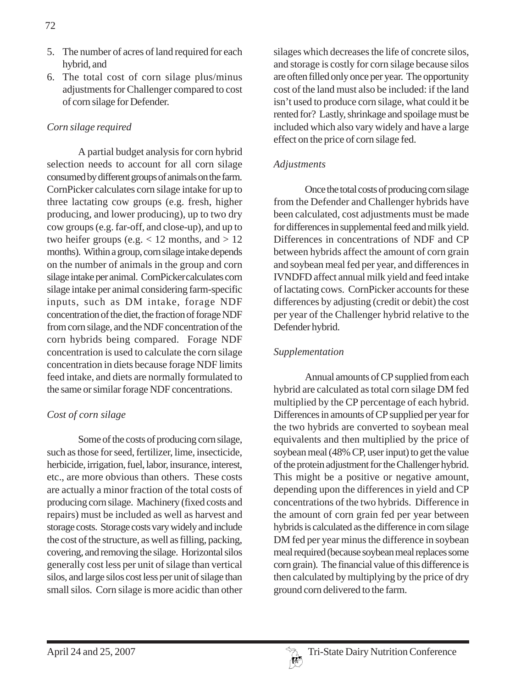- 5. The number of acres of land required for each hybrid, and
- 6. The total cost of corn silage plus/minus adjustments for Challenger compared to cost of corn silage for Defender.

### *Corn silage required*

A partial budget analysis for corn hybrid selection needs to account for all corn silage consumed by different groups of animals on the farm. CornPicker calculates corn silage intake for up to three lactating cow groups (e.g. fresh, higher producing, and lower producing), up to two dry cow groups (e.g. far-off, and close-up), and up to two heifer groups (e.g.  $< 12$  months, and  $> 12$ months). Within a group, corn silage intake depends on the number of animals in the group and corn silage intake per animal. CornPickercalculates corn silage intake per animal considering farm-specific inputs, such as DM intake, forage NDF concentration of the diet, the fraction of forage NDF from corn silage, and the NDF concentration of the corn hybrids being compared. Forage NDF concentration is used to calculate the corn silage concentration in diets because forage NDF limits feed intake, and diets are normally formulated to the same or similar forage NDF concentrations.

## *Cost of corn silage*

Some of the costs of producing corn silage, such as those for seed, fertilizer, lime, insecticide, herbicide, irrigation, fuel, labor, insurance, interest, etc., are more obvious than others. These costs are actually a minor fraction of the total costs of producing corn silage. Machinery (fixed costs and repairs) must be included as well as harvest and storage costs. Storage costs vary widely and include the cost of the structure, as well as filling, packing, covering, and removing the silage. Horizontal silos generally cost less per unit of silage than vertical silos, and large silos cost less per unit of silage than small silos. Corn silage is more acidic than other

silages which decreases the life of concrete silos, and storage is costly for corn silage because silos are often filled only once per year. The opportunity cost of the land must also be included: if the land isn't used to produce corn silage, what could it be rented for? Lastly, shrinkage and spoilage must be included which also vary widely and have a large effect on the price of corn silage fed.

#### *Adjustments*

Once the total costs of producing corn silage from the Defender and Challenger hybrids have been calculated, cost adjustments must be made for differences in supplemental feed and milk yield. Differences in concentrations of NDF and CP between hybrids affect the amount of corn grain and soybean meal fed per year, and differences in IVNDFD affect annual milk yield and feed intake of lactating cows. CornPicker accounts for these differences by adjusting (credit or debit) the cost per year of the Challenger hybrid relative to the Defender hybrid.

#### *Supplementation*

Annual amounts of CP supplied from each hybrid are calculated as total corn silage DM fed multiplied by the CP percentage of each hybrid. Differences in amounts of CP supplied per year for the two hybrids are converted to soybean meal equivalents and then multiplied by the price of soybean meal (48% CP, user input) to get the value of the protein adjustment for the Challenger hybrid. This might be a positive or negative amount, depending upon the differences in yield and CP concentrations of the two hybrids. Difference in the amount of corn grain fed per year between hybrids is calculated as the difference in corn silage DM fed per year minus the difference in soybean meal required (because soybean meal replaces some corn grain). The financial value of this difference is then calculated by multiplying by the price of dry ground corn delivered to the farm.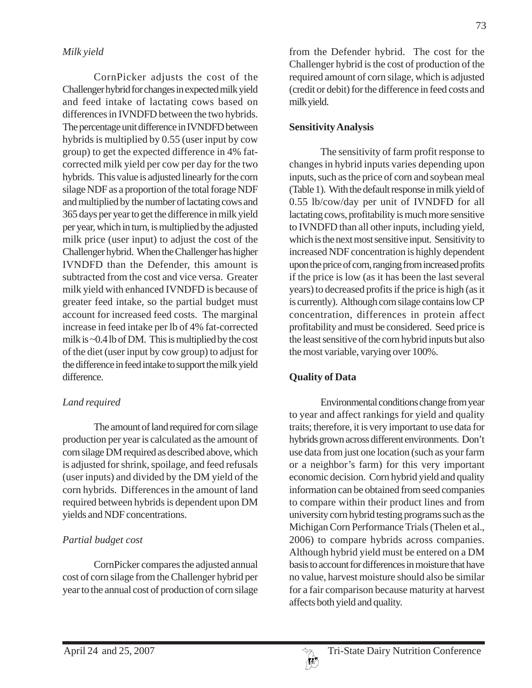CornPicker adjusts the cost of the Challenger hybrid for changes in expected milk yield and feed intake of lactating cows based on differences in IVNDFD between the two hybrids. The percentage unit difference in IVNDFD between hybrids is multiplied by 0.55 (user input by cow group) to get the expected difference in 4% fatcorrected milk yield per cow per day for the two hybrids. This value is adjusted linearly for the corn silage NDF as a proportion of the total forage NDF and multiplied by the number of lactating cows and 365 days per year to get the difference in milk yield per year, which in turn, is multiplied by the adjusted milk price (user input) to adjust the cost of the Challenger hybrid. When the Challenger has higher IVNDFD than the Defender, this amount is subtracted from the cost and vice versa. Greater milk yield with enhanced IVNDFD is because of greater feed intake, so the partial budget must account for increased feed costs. The marginal increase in feed intake per lb of 4% fat-corrected milk is ~0.4 lb of DM. This is multiplied by the cost of the diet (user input by cow group) to adjust for the difference in feed intake to support the milk yield difference.

# *Land required*

The amount of land required for corn silage production per year is calculated as the amount of corn silage DM required as described above, which is adjusted for shrink, spoilage, and feed refusals (user inputs) and divided by the DM yield of the corn hybrids. Differences in the amount of land required between hybrids is dependent upon DM yields and NDF concentrations.

# *Partial budget cost*

CornPicker compares the adjusted annual cost of corn silage from the Challenger hybrid per year to the annual cost of production of corn silage

from the Defender hybrid. The cost for the Challenger hybrid is the cost of production of the required amount of corn silage, which is adjusted (credit or debit) for the difference in feed costs and milk yield.

# **Sensitivity Analysis**

The sensitivity of farm profit response to changes in hybrid inputs varies depending upon inputs, such as the price of corn and soybean meal (Table 1). With the default response in milk yield of 0.55 lb/cow/day per unit of IVNDFD for all lactating cows, profitability is much more sensitive to IVNDFD than all other inputs, including yield, which is the next most sensitive input. Sensitivity to increased NDF concentration is highly dependent upon the price of corn, ranging from increased profits if the price is low (as it has been the last several years) to decreased profits if the price is high (as it is currently). Although corn silage contains low CP concentration, differences in protein affect profitability and must be considered. Seed price is the least sensitive of the corn hybrid inputs but also the most variable, varying over 100%.

# **Quality of Data**

Environmental conditions change from year to year and affect rankings for yield and quality traits; therefore, it is very important to use data for hybrids grown across different environments. Don't use data from just one location (such as your farm or a neighbor's farm) for this very important economic decision. Corn hybrid yield and quality information can be obtained from seed companies to compare within their product lines and from university corn hybrid testing programs such as the Michigan Corn Performance Trials (Thelen et al., 2006) to compare hybrids across companies. Although hybrid yield must be entered on a DM basis to account for differences in moisture that have no value, harvest moisture should also be similar for a fair comparison because maturity at harvest affects both yield and quality.

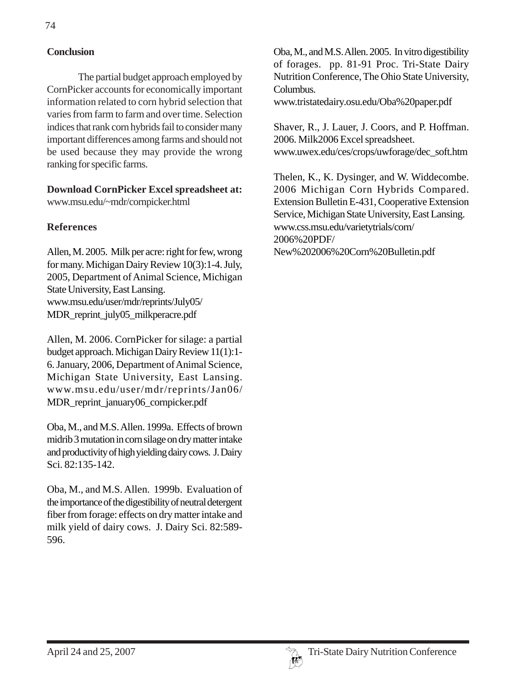### **Conclusion**

The partial budget approach employed by CornPicker accounts for economically important information related to corn hybrid selection that varies from farm to farm and over time. Selection indices that rank corn hybrids fail to consider many important differences among farms and should not be used because they may provide the wrong ranking for specific farms.

**Download CornPicker Excel spreadsheet at:** www.msu.edu/~mdr/cornpicker.html

#### **References**

Allen, M. 2005. Milk per acre: right for few, wrong for many. Michigan Dairy Review 10(3):1-4. July, 2005, Department of Animal Science, Michigan State University, East Lansing. www.msu.edu/user/mdr/reprints/July05/ MDR\_reprint\_july05\_milkperacre.pdf

Allen, M. 2006. CornPicker for silage: a partial budget approach. Michigan Dairy Review 11(1):1- 6. January, 2006, Department of Animal Science, Michigan State University, East Lansing. www.msu.edu/user/mdr/reprints/Jan06/ MDR\_reprint\_january06\_cornpicker.pdf

Oba, M., and M.S. Allen. 1999a. Effects of brown midrib 3 mutation in corn silage on dry matter intake and productivity of high yielding dairy cows. J. Dairy Sci. 82:135-142.

Oba, M., and M.S. Allen. 1999b. Evaluation of the importance of the digestibility of neutral detergent fiber from forage: effects on dry matter intake and milk yield of dairy cows. J. Dairy Sci. 82:589- 596.

Oba, M., and M.S. Allen. 2005. In vitro digestibility of forages. pp. 81-91 Proc. Tri-State Dairy Nutrition Conference, The Ohio State University, Columbus.

www.tristatedairy.osu.edu/Oba%20paper.pdf

Shaver, R., J. Lauer, J. Coors, and P. Hoffman. 2006. Milk2006 Excel spreadsheet. www.uwex.edu/ces/crops/uwforage/dec\_soft.htm

Thelen, K., K. Dysinger, and W. Widdecombe. 2006 Michigan Corn Hybrids Compared. Extension Bulletin E-431, Cooperative Extension Service, Michigan State University, East Lansing. www.css.msu.edu/varietytrials/corn/ 2006%20PDF/ New%202006%20Corn%20Bulletin.pdf